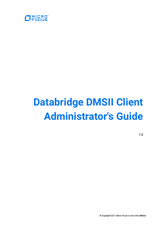

# **Databridge DMSII Client Administrator's Guide**

**7.0**

© Copyright 2021 Micro Focus or one of its affiliates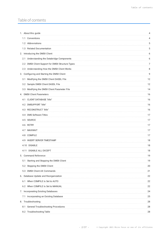# Table of contents

| 1. About this guide                                | 4  |
|----------------------------------------------------|----|
| 1.1 Conventions                                    | 4  |
| 1.2 Abbreviations                                  | 5  |
| 1.3 Related Documentation                          | 5  |
| 2. Introducing the DMSII Client                    | 6  |
| 2.1 Understanding the Databridge Components        | 6  |
| 2.2 DMSII Client Support for DMSII Structure Types | 7  |
| 2.3 Understanding How the DMSII Client Works       | 8  |
| 3. Configuring and Starting the DMSII Client       | 9  |
| 3.1 Modifying the DMSII Client DASDL File          | 12 |
| 3.2 Sample DMSII Client DASDL File                 | 12 |
| 3.3 Modifying the DMSII Client Parameter File      | 14 |
| 4. DMSII Client Parameters                         | 16 |
| 4.1 CLIENT DATABASE "title"                        | 16 |
| 4.2 DMSUPPORT "title"                              | 16 |
| 4.3 RECONSTRUCT "title"                            | 16 |
| 4.4 DMS Software Titles                            | 17 |
| 4.5 SOURCE                                         | 17 |
| 4.6 RETRY                                          | 17 |
| 4.7 MAXWAIT                                        | 17 |
| 4.8 COMPILE                                        | 17 |
| 4.9 INSERT SERVER TIMESTAMP                        | 18 |
| 4.10 DISABLE                                       | 18 |
| 4.11 DISABLE ALL EXCEPT                            | 18 |
| 5. Command Reference                               | 19 |
| Starting and Stopping the DMSII Client<br>5.1      | 19 |
| 5.2 Stopping the DMSII Client                      | 20 |
| 5.3 DMSII Client AX Commands                       | 21 |
| 6. Database Update and Reorganization              | 22 |
| 6.1 When COMPILE Is Set to AUTO                    | 22 |
| 6.2 When COMPILE Is Set to MANUAL                  | 22 |
| 7. Incorporating Existing Databases                | 24 |
| 7.1 Incorporating an Existing Database             | 25 |
| 8. Troubleshooting                                 | 28 |
| 8.1 General Troubleshooting Procedures             | 28 |
| 8.2 Troubleshooting Table                          | 28 |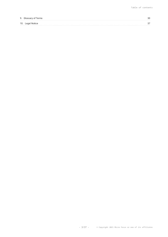| 9. Glossary of Terms |  |
|----------------------|--|
| 10. Legal Notice     |  |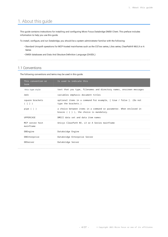# <span id="page-3-0"></span>1. About this guide

This guide contains instructions for installing and configuring Micro Focus Databridge DMSII Client. This preface includes information to help you use this guide.

To install, configure, and run Databridge, you should be a system administrator familiar with the following:

- $\cdot$  Standard Unisys® operations for MCP-hosted mainframes such as the CS7xxx series, Libra series, ClearPath® NX/LX or A Series
- DMSII databases and Data And Structure Definition Language (DASDL) •

# <span id="page-3-1"></span>1.1 Conventions

The following conventions and terms may be used in this guide.

| This convention or<br>term   | Is used to indicate this                                                                                            |  |
|------------------------------|---------------------------------------------------------------------------------------------------------------------|--|
| this type style              | text that you type, filenames and directory names, onscreen messages                                                |  |
| italic                       | variables emphasis document titles                                                                                  |  |
| square brackets<br>([])      | optional items in a command For example, [ true / false ]. (Do not<br>type the brackets.)                           |  |
| pipe $($ $ $ $)$             | a choice between items in a command or parameter. When enclosed in<br>braces $( { } 3 )$ , the choice is mandatory. |  |
| UPPERCASE                    | DMSII data set and data item names                                                                                  |  |
| MCP server host<br>mainframe | Unisys ClearPath NX, LX or A Series mainframe                                                                       |  |
| DBEngine                     | Databridge Engine                                                                                                   |  |
| DBEnterprise                 | Databridge Enterprise Server                                                                                        |  |
| DBServer                     | Databridge Server                                                                                                   |  |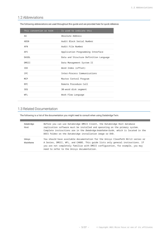# <span id="page-4-0"></span>1.2 Abbreviations

| This convention or term | Is used to indicate this               |
|-------------------------|----------------------------------------|
| AA                      | Absolute Address                       |
| <b>ARSN</b>             | Audit Block Serial Number              |
| AFN                     | Audit File Number                      |
| API                     | Application Programming Interface      |
| DASDI                   | Data and Structure Definition Language |
| DMSII                   | Data Management System II              |
| IDX                     | Word Index (offset)                    |
| <b>TPC</b>              | Inter-Process Communications           |
| <b>MCP</b>              | Master Control Program                 |
| <b>RPC</b>              | Remote Procedure Call                  |
| <b>SEG</b>              | 30-word disk segment                   |
| WFI                     | Work Flow Language                     |

The following abbreviations are used throughout this guide and are provided here for quick reference.

# <span id="page-4-1"></span>1.3 Related Documentation

The following is a list of the documentation you might need to consult when using Databridge Twin.

| Databridge<br>Host  | Before you can use Databridge DMSII Client, the Databridge Host database<br>replication software must be installed and operating on the primary system.<br>Complete instructions are in the <i>Databridge Installation Guide</i> , which is located in the<br>DOCS folder on the Databridge installation image or DVD. |
|---------------------|------------------------------------------------------------------------------------------------------------------------------------------------------------------------------------------------------------------------------------------------------------------------------------------------------------------------|
| Unisys<br>Mainframe | You should have available documentation for the Unisys ClearPath NX/LX series or<br>A Series, DMSII, WFL, and CANDE. This quide lists only general instructions. If<br>you are not completely familiar with DMSII configuration, for example, you may<br>need to refer to the Unisys documentation.                    |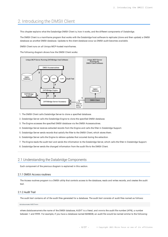# <span id="page-5-0"></span>2. Introducing the DMSII Client

This chapter explains what the Databridge DMSII Client is, how it works, and the different components of Databridge.

The DMSII Client is a mainframe program that works with the Databridge host software to replicate (clone and then update) a DMSII database as another DMSII database. Updates to the client database occur as DMSII audit becomes available.

DMSII Client runs on all Unisys MCP-hosted mainframes.

The following diagram shows how the DMSII Client works:



1. The DMSII Client calls Databridge Server to clone a specified database.

2. Databridge Server calls the Databridge Engine to clone the specified DMSII database.

3. The Engine accesses the specified DMSII database via the DMSII Accessroutines.

Databridge Server receives extracted records from the Engine and calls the filter in Databridge Support. 4.

5. Databridge Server sends records that satisfy the filter to the DMSII Client, which stores them.

6. Databridge Server calls the Engine to retrieve updates that occurred during the extraction.

- 7. The Engine reads the audit trail and sends the information to the Databridge Server, which calls the filter in Databridge Support.
- 8. Databridge Server sends the changed information from the audit file to the DMSII Client.

### <span id="page-5-1"></span>2.1 Understanding the Databridge Components

Each component of the previous diagram is explained in this section.

#### 2.1.1 DMSII Access routines

The Access routines program is a DMSII utility that controls access to the database, reads and writes records, and creates the audit trail.

#### 2.1.2 Audit Trail

The audit trail contains all of the audit files generated for a database. The audit trail consists of audit files named as follows:

databasename/AUDITnnnn

where *databasename*is the name of the DMSII database, AUDIT is a literal, and *nnnn*is the audit file number (AFN), a number between 1 and 9999. For example, if you have a database named BANKDB, an audit file would be named similar to the following: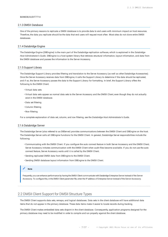#### BANKDB/AUDIT7714

#### 2.1.3 DMSII Database

One of the primary reasons to replicate a DMSII database is to provide data to end users with minimum impact on host resources. Therefore, the data you replicate should be the data that end users will request most often. Most sites do not clone entire DMSII databases.

#### 2.1.4 Databridge Engine

The Databridge Engine (DBEngine) is the main part of the Databridge replication software, which is explained in the *Databridge Host Administrator's Guide*. DBEngine is a host system library that retrieves structural information, layout information, and data from the DMSII database and passes the information to the Server Accessory.

#### 2.1.5 Support Library

The Databridge Support Library provides filtering and translation to the Server Accessory (as well as other Databridge Accessories). Once the Server Accessory receives data from DBEngine, it calls the Support Library to determine if the data should be replicated, and if so, the Server Accessory passes the data to the Support Library for formatting. In brief, the Support Library offers the following to the DMSII Client:

- Virtual data sets •
- Virtual data sets appear as normal data sets to the Server Accessory and the DMSII Client, even though they do not actually exist in the DMSII database.
- Data set filtering •
- Column filtering •
- Row filtering •

For a complete explanation of data set, column, and row filtering, see the *Databridge Host Administrator's Guide*.

#### 2.1.6 Databridge Server

The Databridge Server (also referred to as DBServer) provides communications between the DMSII Client and DBEngine on the host. The Databridge Server calls all DBEngine functions for the DMSII Client. In general, Databridge Server responsibilities include the following:

- Communicating with the DMSII Client. If you configure the auto connect feature in both Server Accessory and the DMSII Client, Server Accessory initiates communication with the DMSII Client when audit files become available. If you do not use the auto connect feature, Server Accessory waits until it is called by the DMSII Client.
- Sending replicated DMSII data from DBEngine to the DMSII Client. •
- Sending DMSII database layout information from DBEngine to the DMSII Client. •

#### **Note**

Frequently, you can enhance performance by having the DMSII Client communicate with Databridge Enterprise Server instead of the Server Accessory. To configure this, in the DMSII Client parameter file, enter the IP address of Enterprise Server instead of the Server Accessory.

# <span id="page-6-0"></span>2.2 DMSII Client Support for DMSII Structure Types

The DMSII Client supports data sets, remaps, and logical databases. Data sets in the client database will have additional data items that do not appear in the primary database. These data items make it easier to locate records during tracking.

The DMSII Client makes embedded data sets disjoint in the client database. Consequently, application programs designed for the primary database may need to be modified in order to compile and run properly against the client database.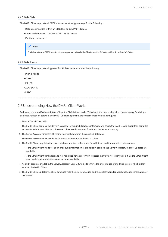#### 2.2.1 Data Sets

The DMSII Client supports all DMSII data set structure types except for the following.

- Data sets embedded within an ORDERED or COMPACT data set •
- Embedded data sets if INDEPENDENTTRANS is reset •
- Partitioned structures •

#### **Note**

For information on DMSII structure types supported by Databridge Clients, see the *Databridge Client Administrator's Guide*.

#### 2.2.2 Data Items

The DMSII Client supports all types of DMSII data items except for the following:

- POPULATION •
- COUNT •
- FILLER •
- AGGREGATE •
- LINKS •

### <span id="page-7-0"></span>2.3 Understanding How the DMSII Client Works

Following is a simplified description of how the DMSII Client works. This description starts after all of the necessary Databridge database replication software and DMSII Client components are correctly installed and configured.

1. Run the DMSII Client WFL.

The DMSII Client contacts the Server Accessory for required database information to create the DASDL code that it then compiles as the client database. After this, the DMSII Client sends a request for data to the Server Accessory.

2. The Server Accessory initiates DBEngine to extract data from the specified database.

The Server Accessory then sends the database information to the DMSII Client.

- The DMSII Client populates the client database and then either waits for additional audit information or terminates. 3.
	- $\cdot$  If the DMSII Client waits for additional audit information, it periodically contacts the Server Accessory to see if updates are available.
	- If the DMSII Client terminates and it is registered for auto connect requests, the Server Accessory will initiate the DMSII Client when additional audit information becomes available.
- 4. As audit becomes available, the Server Accessory uses DBEngine to retrieve the after-images of modified records, which it then sends to the DMSII Client.
- The DMSII Client updates the client database with the new information and then either waits for additional audit information or 5. terminates.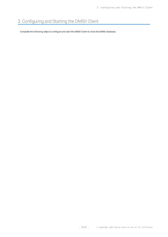# <span id="page-8-0"></span>3. Configuring and Starting the DMSII Client

Complete the following steps to configure and start the DMSII Client to clone the DMSII database.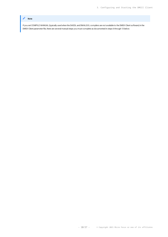### **Note**

If you set COMPILE MANUAL (typically used when the DASDL and DMALGOL compilers are not available to the DMSII Client software) in the DMSII Client parameter file, there are several manual steps you must complete as documented in steps 6 through 13 below.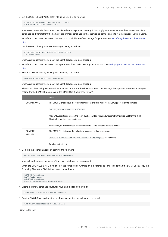1. Get the DMSII Client DASDL patch file using CANDE, as follows:

```
GET PATCH/DATABRIDGE/DMSIICLIENT/SAMPLE/DASDL AS PATCH/
DATABRIDGE/DMSIICLIENT/clientdbname/DASDL
```
where *clientdbname*is the name of the client database you are creating. It is strongly recommended that the name of the client database be different from the name of the primary database so that there is no confusion as to which database you are using.

- 2. Modify and then save the DMSII Client DASDL patch file to reflect settings for your site. See [Modifying the DMSII Client DASDL](#page-11-0) [File.](#page-11-0)
- 3. Get the DMSII Client parameter file using CANDE, as follows:

GET DATA/DMSIICLIENT/SAMPLE/CONTROL AS DATA/DMSIICLIENT/ clientdbname/CONTROL

where *clientdbname*is the name of the client database you are creating.

- 4. Modify and then save the DMSII Client parameter file to reflect settings for your site. See [Modifying the DMSII Client Parameter](#page-13-0) [File.](#page-13-0)
- 5. Start the DMSII Client by entering the following command:

START WFL/DATABRIDGE/DMSIICLIENT ("clientdbname")

where *clientdbname*is the name of the client database you are creating.

The DMSII Client will generate and compile the DASDL for the client database. The message that appears next depends on your setting for the COMPILE parameter in the DMSII Client parameter (step 2).

| Æ                        | <b>Then</b>                                                                                                                                              |
|--------------------------|----------------------------------------------------------------------------------------------------------------------------------------------------------|
| COMPILE AUTO             | The DMSII Client displays the following message and then waits for the DMSupport library to compile:                                                     |
|                          | Waiting for DMSupport compilation                                                                                                                        |
|                          | After DMSupport is compiled, the client database will be initialized with empty structures and then the DMSII<br>Client will clone the primary database. |
|                          | At this point, you are finished with this procedure. Go to "What to Do Next" below.                                                                      |
| COMPILE<br><b>MANUAL</b> | The DMSII Client displays the following message and then terminates:                                                                                     |
|                          | Use WFL/DATABRIDGE/DMSIICLIENT/COMPILEDB to compile <i>clientdbname</i>                                                                                  |
|                          | Continue with step 6.                                                                                                                                    |

6. Compile the client database by starting the following

WFL: WFL/DATABRIDGE/DMSIICLIENT/COMPILEDB ("clientdbname")

where clientdbnameis the name of the client database you are compiling.

7. When the COMPILEDB WFL is finished, if the compiled software is on a different pack or usercode than the DMSII Client, copy the following files to the DMSII Client usercode and pack:

DESCRIPTION/clientdbname DMSUPPORT/clientdbname RECONSTRUCT/clientdbnam OBJECT/DATABRIDGE/DMSIICLIENT/LIB/clientdbname

8. Create the empty database structure by running the following utility:

SYSTEM/DMUTILITY ("DB= clientdbname INITIALIZE =")

9. Run the DMSII Client to clone the database by entering the following command:

START WFL/DATABRIDGE/DMSIICLIENT ("clientdbname")

**What to Do Next**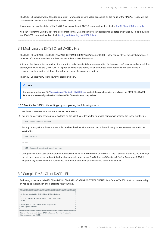The DMSII Client either waits for additional audit information or terminates, depending on the value of the MAXWAIT option in the parameter file. At this point, the client database is ready to use.

If you want to view the status of the DMSII Client, enter the AX STATUS command as described in [DMSII Client AX Commands.](#page-20-0)

You can register the DMSII Client for auto connect so that Databridge Server initiates it when updates are available. To do this, enter the REGISTER command as described [Starting and Stopping the DMSII Client.](#page-18-1)

# <span id="page-11-0"></span>3.1 Modifying the DMSII Client DASDL File

The DMSII Client DASDL file (PATCH/DATABRIDGE/DMSIICLIENT/*clientdbname*/DASDL) is the source file for the client database. It provides information on where and how the client database will be created.

Although this is not a typical option, if you want to make the client database unaudited for improved performance and reduced disk storage, you could set the \\$ UNAUDITED option to compile the library for an unaudited client database. The cost of this is recloning or reloading the database if a failure occurs on the secondary system.

The DMSII Client DASDL file follows the procedure below.



- 3.1.1 Modify the DASDL file settings by completing the following steps:
	- 1. Set the FAMILYNAME attribute in the AUDIT TRAIL section.
- For any primary-side sets you want declared on the client side, declare the following somewhere near the top in the DASDL file: 2.

\$ SET setname1 setname2 setname3 ...

For any primary-side subsets you want declared on the client side, declare one of the following somewhere near the top in the 3. DASDL file:

\$ SET ALLSUBSETS

---or---

\$ SET subsetname1 subsetname2 subsetname3 ...

Change other parameters and audit trail attributes indicated in the comments of the DASDL file, if desired. If you decide to change 4. any of these parameters and audit trail attributes, refer to your Unisys *DMSII Data and Structure Definition Language (DASDL) Programming Reference*manual for detailed information about the parameters and audit file attributes.

# <span id="page-11-1"></span>3.2 Sample DMSII Client DASDL File

Following is the sample DMSII Client DASDL file (PATCH/DATABRIDGE/DMSIICLIENT/*clientdbname*/DASDL) that you must modify by replacing the items in angle brackets with your entry.

| %                                                             | $\gamma$ |
|---------------------------------------------------------------|----------|
| % A Series Databridge DMSIIClient DASDL Skeleton              | $\gamma$ |
| %                                                             | $\gamma$ |
| % Source: PATCH/DATABRIDGE/DMSIICLIENT/SAMPLE/DASDL           | $\gamma$ |
| % Object:                                                     | $\gamma$ |
| %                                                             | $\gamma$ |
| % Copyright (C) 2012 Attachmate Corporation                   | $\gamma$ |
| % All Rights reserved                                         | $\gamma$ |
| %                                                             | $\gamma$ |
|                                                               |          |
| This is the user-modifiable DASDL skeleton for the Databridge |          |
| Client program for DMSII.                                     |          |
|                                                               |          |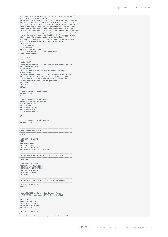```
Before generating a database with the DMSII Client, you may modify
this file with local preferences.
The PARAMETERS and AUDIT TRAIL attributes can be adjusted as desired.
 The DMSII Client can function with any settings in these sections.
By default, the DMSII Client database will not have any of the sets
found in the original database. The generated DASDL, however, does
 contain the declarations for these sets surrounded by a pair of<br>$ SET OMIT = ^ <setname> and $ POP OMIT. The <setname> is the original<br>name of the set minus any hyphens. If you want to include any of these<br>sets in the clie
file *before* the insertion point, which is marked by "@".
For example, if you want to include the sets CUSTNAMESET and ORD-BY-DATE
in the client database you should put the following
lines in this file:
$ SET CUSTNAMESET
$ SET ORDBYDATE
 Important! Save this file as
PATCH/DATABRIDGE/DMSIICLIENT/<clientdb>/DASDL.
Modification history
 --------------------
Version 40.461
Initial version.
Version 41.471
1 Added POPULATIONINCR = 100 to avoid waiting entries messages
about population increases.
Version 42.491
1 Added $ UNAUDITED for compiling an unaudited database.
 Version 50.503
1 Removed the FAMILYNAME option from the DEFAULTS declaration
because the DMSII Client now generates it from the CLIENT
 DATABASE option. Similarly, the CONTROL FILE declaration
has been removed because it is now generated.
End History
$ POP OMIT
DEFAULTS
 (
%- SECURITYGUARD = <guardfiletitle>,
CHECKSUM = TRUE,
DATASET
 (
%- SECURITYGUARD = <guardfiletitle>,
BUFFERS = 0 + 0 PER RANDOM USER
OR 2 PER SERIAL USER,
REBLOCK = TRUE,
POPULATIONINCR = 100,
POPULATIONWARN = 0,
LOCK TO MODIFY DETAILS
 )
SET
 (
%- SECURITYGUARD = <guardfiletitle>,
CHECKSUM = TRUE
 )
);
   %=============================================================
% Don't change any OPTIONS
 %=============================================================
OPTIONS
 (
$ SET OMIT = UNAUDITED
AUDIT,
INDEPENDENTTRANS,
REAPPLYCOMPLETED,
$ POP OMIT % UNAUDITED
ADDRESSCHECK % ADDRESSCHECK must be set
 );
 %=============================================================
% Change PARAMETERS as desired for better performance.
 %=============================================================
PARAMETERS
 (
$ SET OMIT = UNAUDITED
SYNCPOINT = 100 TRANSACTIONS,
CONTROLPOINT = 20 SYNCPOINTS,
$ POP OMIT % UNAUDITED
ALLOWEDCORE = 500000,
OVFRI AYGOAI = 5);
 %=============================================================
% Change AUDIT TRAIL as desired for better performance.
 %=============================================================
$ SET OMIT = UNAUDITED
AUDIT TRAIL
 (
 %=============================================================
% Set FAMILYNAME to the pack for the audit files.
%- FAMILYNAME = <auditpack> COPY TO TAPE AND REMOVE,
              %=============================================================
AREAS = 10,AREASIZE = 1000 BLOCKS,
BLOCKSIZE = 4080 WORDS
UPDATE EOF = 100 BLOCKS,
CHECKSUM = TRUE
 );
$ POP OMIT % UNAUDITED
                                 %=============================================================
% Audit location data set for keeping track of our position
```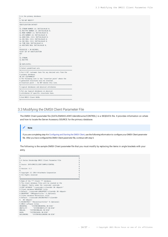| % in the primary database.<br>%                                               |
|-------------------------------------------------------------------------------|
| % *DO NOT MODIFY*                                                             |
|                                                                               |
| AUDITLOCATION DATASET                                                         |
| (                                                                             |
| AL-STRNUM NUMBER (4) INITIALVALUE 0;<br>AL-RECTYPE NUMBER (3) INITIALVALUE 0; |
| AL-MODE NUMBER (1) INITIALVALUE 0;                                            |
| AL-AFN NUMBER (4) INITIALVALUE 0;                                             |
| AL-ABSN REAL (S11) INITIALVALUE 0;                                            |
| AL-SEG REAL (S11) INITIALVALUE 0;                                             |
| AL-INX REAL (S11) INITIALVALUE 0;                                             |
| AL-TIME REAL INITIALVALUE 0;                                                  |
| AL-HOSTINFO REAL INITIALVALUE 0:                                              |
| $\cdot$<br>BLOCKSIZE = 30 RECORDS;                                            |
| ALSET SET OF AUDITLOCATION                                                    |
| <b>KFY</b>                                                                    |
| (                                                                             |
| AL-STRNUM,                                                                    |
| AL-RECTYPE                                                                    |
| $\lambda$                                                                     |
| NO DUPLICATES;                                                                |
| % Select predefined sets                                                      |
| % Put \$ SET <setname> here for any desired sets from the</setname>           |
| % primary database.                                                           |
| %\$ SET CUSTNAMESET                                                           |
| % The following line is the "insertion point" where the                       |
| % generated structures will be inserted.                                      |
| @ Insertion point -- Do NOT delete this line.                                 |
|                                                                               |
| % Logical databases and physical attributes                                   |
| % Put any logical databases or physical                                       |
| % attributes of specific structures here.                                     |
|                                                                               |
| % End DMSTT Client DASDL                                                      |
|                                                                               |

# <span id="page-13-0"></span>3.3 Modifying the DMSII Client Parameter File

The DMSII Client parameter file (DATA/DMSIICLIENT/*clientdbname*/CONTROL) is a SEQDATA file. It provides information on where and how to locate the Server Accessory SOURCE for the primary database.

#### **Note**

If you are completing step 4 in Confi[guring and Starting the DMSII Client,](#page-8-0) use the following information to configure your DMSII Client parameter file. After you have configured the DMSII Client parameter file, continue with step 5.

The following is the sample DMSII Client parameter file that you must modify by replacing the items in angle brackets with your entry.

| 2000 הוא המחשב המחשב המחשב המחשב המחשב המחשב המחשב המחשב המחשב המחשב המחשב המחשב המחשב המחשב המחשב המחשב המחשב<br>המחשב המחשב המחשב המחשב המחשב המחשב המחשב המחשב המחשב המחשב המחשב המחשב המחשב המחשב המחשב המחשב המחשב המחשב המ |   |
|----------------------------------------------------------------------------------------------------------------------------------------------------------------------------------------------------------------------------------|---|
| %                                                                                                                                                                                                                                | % |
| % A Series Databridge DMSII Client Parameter File                                                                                                                                                                                | % |
| %                                                                                                                                                                                                                                | % |
| % Source: DATA/DMSTICLIFNT/SAMPLE/CONTROL                                                                                                                                                                                        | % |
| %                                                                                                                                                                                                                                | % |
| % Version: 6.3                                                                                                                                                                                                                   | % |
| %                                                                                                                                                                                                                                | % |
| % Copyright (C) 2014 Attachmate Corporation                                                                                                                                                                                      | % |
| % All Rights reserved                                                                                                                                                                                                            | % |
| %                                                                                                                                                                                                                                | % |
| n na manaza na manaza na manaza na manaza na manaza na manaza na manaza na manaza na manaza na manaza na manaz<br>Manaza na manaza na manaza na manaza na manaza na manaza na manaza na manaza na manaza na manaza na manaza na  |   |
| % Name of the *** Client *** database.                                                                                                                                                                                           |   |
| % The client database files will be created on the                                                                                                                                                                               |   |
| % <dbpack> family under the <usercode> usercode.</usercode></dbpack>                                                                                                                                                             |   |
| CLIENT DATABASE "( <usercode>)<clientdb> ON <dbpack>"</dbpack></clientdb></usercode>                                                                                                                                             |   |
| % Client database DMSUPPORT title.                                                                                                                                                                                               |   |
| % Default: ( <usercode>)DMSUPPORT/<clientdb> ON <dbpack></dbpack></clientdb></usercode>                                                                                                                                          |   |
| % DMSUPPORT " <dmsupporttitle>" % (Optional)</dmsupporttitle>                                                                                                                                                                    |   |
| % Client database Reconstruct title.                                                                                                                                                                                             |   |
| % Default: ( <usercode>)RECONSTRUCT/<clientdb></clientdb></usercode>                                                                                                                                                             |   |
| % ON <dbpack></dbpack>                                                                                                                                                                                                           |   |
| % RECONSTRUCT " <reconstructtitle>" % (Optional)</reconstructtitle>                                                                                                                                                              |   |
| % DMSII software titles                                                                                                                                                                                                          |   |
| DMCONTROL "SYSTEM/DMCONTROL ON DISK"                                                                                                                                                                                             |   |
| DMUTILITY "SYSTEM/DMUTILITY ON DISK"                                                                                                                                                                                             |   |
| DMALGOL "SYSTEM/DMALGOL ON DISK"                                                                                                                                                                                                 |   |
| DASDL "SYSTEM/DASDL ON DISK"                                                                                                                                                                                                     |   |
| BUILDREORG "SYSTEM/BUILDREORG ON DISK"                                                                                                                                                                                           |   |
|                                                                                                                                                                                                                                  |   |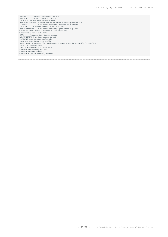REORGSYM "DATABASE/REORGSYMBOLIC ON DISK" PROPERTIES "DATABASE/PROPERTIES ON DISK" % How to locate the Server Accessory SOURCE ...<br>SOURCE <sourcename> % SOURCE name in the Server Accessory parameter file<br>AT <host> % = % SOURCE name in the Server Accessory's hostname or IP address<br>VIA TCPIP % network prot % (FOREVER means to retry indefinitely; % DONTWAIT means do not retry at all) COMPILE AUTO % automatically compile% COMPILE MANUAL % user is responsible for compiling % the client database using % WFL/DATABRIDGE/DMSIICLIENT/COMPILEDB % Disable the following data sets ... % DISABLE dataset1, dataset2, ...

% DISABLE ALL EXCEPT dataset1, dataset2, ...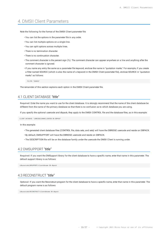# <span id="page-15-0"></span>4. DMSII Client Parameters

Note the following for the format of the DMSII Client parameter file:

- You can list the options in the parameter file in any order. •
- You can list multiple options on a single line. •
- You can split options across multiple lines. •
- There is no termination character. •
- There is no continuation character. •
- $\cdot$  The comment character is the percent sign (%). The comment character can appear anywhere on a line and anything after the comment character is ignored.
- If you name any entry the same as a parameter file keyword, enclose the name in "quotation marks." For example, if you create a filter named SOURCE (which is also the name of a keyword in the DMSII Client parameter file), enclose SOURCE in "quotation marks" as follows:

FILTER "SOURCE"

The remainder of this section explains each option in the DMSII Client parameter file.

# <span id="page-15-1"></span>4.1 CLIENT DATABASE *"title"*

**Required:** Enter the name you want to use for the client database. It is strongly recommend that the name of the client database be different from the name of the primary database so that there is no confusion as to which database you are using.

If you specify the optional usercode and dbpack, they apply to the DMSII CONTROL file and the database files, as in this example:

CLIENT DATABASE "(DBRIDGE)BANKCLIENTDB ON DBPACK"

In this example:

- The generated client database files (CONTROL file, data sets, and sets) will have the DBRIDGE usercode and reside on DBPACK.
- By default, DMSUPPORT will have the DBRIDGE usercode and reside on DBPACK.
- The DESCRIPTION file will be on the database family under the usercode the DMSII Client is running under.

### <span id="page-15-2"></span>4.2 DMSUPPORT *"title"*

**Required:** If you want the DMSupport library for the client database to have a specific name, enter that name in this parameter. The default support library is as follows:

(dbusercode)DMSUPPORT/clientdbname ON dbpack

### <span id="page-15-3"></span>4.3 RECONSTRUCT *"title"*

**Optional:** If you want the Reconstruct program for the client database to have a specific name, enter that name in this parameter. The default program name is as follows:

(dbusercode)RECONSTRUCT/clientdbname ON dbpack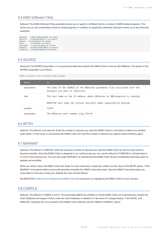# <span id="page-16-0"></span>4.4 DMS Software Titles

**Optional:** The DMSII Software Titles parameter allows you to specify a different title for a variety of DMSII-related programs. This allows you to use nonstandard names for these programs, in addition to specifying usercodes and pack names, as in the following examples:

| <b>DMCONTROL</b>  | "(500) SYSTEM/DMCONTROL ON SYSPACK" |
|-------------------|-------------------------------------|
| DMUTILITY         | "SYSTEM/500/DMUTILITY ON SYSPACK"   |
| <b>DMALGOL</b>    | "*SYSTEM/DMALGOL ON SYSPACK"        |
| <b>DASDL</b>      | "SYSTEM/DASDL ON SYSPACK"           |
| <b>BUTLDREORG</b> | "SYSTEM/BUILDREORG ON SYSPACK"      |
| REORGSYM          | "DATABASE/REORGSYMBOLIC ON DBPACK"  |
| <b>PROPERTTES</b> | "DATABASE/PROPERTIES ON DBPACK"     |

SOURCE sourcename AT host VIA protocol PORT portnumber

# <span id="page-16-1"></span>4.5 SOURCE

**Required:** The SOURCE parameter is a four-part parameter that enables the DMSII Client to link up with DBServer. The syntax of the SOURCE parameter is as follows:

| Where      | Is                                                                                                           |
|------------|--------------------------------------------------------------------------------------------------------------|
| sourcename | The name of the SOURCE in the DBServer parameter file associated with the<br>database you want to replicate. |
| host       | The host name or the IP address where DBServer or DBEnterprise is running.                                   |
|            | NOTE: The host name can contain multiple nodes separated by periods.                                         |
| protocol   | <b>TCPIP</b>                                                                                                 |
| portnumber | The DBServer port number usig TCP/IP                                                                         |

### <span id="page-16-2"></span>4.6 RETRY

**Optional:** The default is 60 seconds. Enter the number of seconds you want the DMSII Client to wait before it retries its available audit check. If more audit is unavailable, the DMSII Client will wait the number of seconds you specify before checking again.

# <span id="page-16-3"></span>4.7 MAXWAIT

**Optional:** The default is FOREVER. Enter the maximum number of seconds you want the DMSII Client to wait for more audit to become available. Since the DMSII Client is designed to run continuously, you can use the default of FOREVER to indicate there is no limit to the waiting time. You can also enter DONTWAIT to indicate that the DMSII Client should immediately terminate when no updates are available.

When you enter a value, the DMSII Client will check for more audit every *nn*seconds, where *nn*is the value of the RETRY option. If the MAXWAIT time expires before more audit becomes available, the DMSII Client terminates. Once the DMSII Client terminates, you must restart it manually, unless you enabled the auto connect feature.

See REGISTER in [Starting and Stopping the DMSII Client](#page-18-1) for instructions on registering the DMSII Client for auto connect.

### <span id="page-16-4"></span>4.8 COMPILE

**Optional:** The default is COMPILE AUTO. This parameter determines whether or not the DMSII Client will automatically compile the client database and support library when the client database is created or in the event of a reorganization. If the DASDL and DMALGOL compilers are not available to the DMSII Client software, use the COMPILE MANUAL option.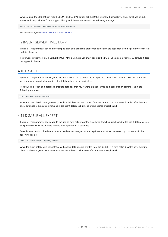When you run the DMSII Client with the COMPILE MANUAL option set, the DMSII Client will generate the client database DASDL source and the patch files for the support library and then terminate with the following message:

"Use WFL/DATABRIDGE/DMSIICLIENT/COMPILEDB to compile clientdbname"

For instructions, see [When COMPILE Is Set to MANUAL](#page-21-2).

# <span id="page-17-0"></span>4.9 INSERT SERVER TIMESTAMP

**Optional:** This parameter adds a timestamp to each data set record that contains the time the application on the primary system last updated the record.

If you want to use the INSERT SERVER TIMESTAMP parameter, you must add it to the DMSII Client parameter file. By default, it does not appear in the file.

### <span id="page-17-1"></span>4.10 DISABLE

**Optional:** This parameter allows you to exclude specific data sets from being replicated to the client database. Use this parameter when you want to exclude a portion of a database from being replicated.

To exclude a portion of a database, enter the data sets that you want to exclude in this field, separated by commas, as in the following example:

DISABLE CUSTOMER, ACCOUNT, EMPLOYEES

When the client database is generated, any disabled data sets are omitted from the DASDL. If a data set is disabled after the initial client database is generated it remains in the client database but none of its updates are replicated.

### <span id="page-17-2"></span>4.11 DISABLE ALL EXCEPT

**Optional:** This parameter allows you to exclude all data sets except the ones listed from being replicated to the client database. Use this parameter when you want to include only a portion of a database.

To replicate a portion of a database, enter the data sets that you want to replicate in this field, separated by commas, as in the following example:

DISABLE ALL EXCEPT CUSTOMER, ACCOUNT, EMPLOYEES

When the client database is generated, any disabled data sets are omitted from the DASDL. If a data set is disabled after the initial client database is generated it remains in the client database but none of its updates are replicated.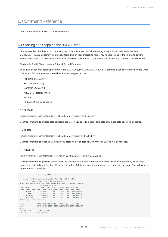# <span id="page-18-0"></span>5. Command Reference

This chapter explains the DMSII Client commands.

# <span id="page-18-1"></span>5.1 Starting and Stopping the DMSII Client

This section describes how to start and stop the DMSII Client. For normal processing, use the START WFL/DATABRIDGE/ DMSIICLIENT (\"*clientdbname*\") command. Depending on your processing needs, you might use one of the following optional second parameters. The DMSII Client defaults to the UPDATE command if you do not add a second parameter to the START WFL.

Starting the DMSII Client Using an Optional Second Parameter

By adding an optional second parameter to the START WFL/DATABRIDGE/DMSIICLIENT command, you can change how the DMSII Client runs. Following are the optional parameters that you can use:

- UPDATE [*datasetlist*] •
- CLONE [*datasetlist*] •
- STATUS [*datasetlist*] •
- REGISTER port [*password*] •
- CLEAN •
- LOCATION *afn absn seg inx* •

#### 5.1.1 UPDATE

START WFL/DATABRIDGE/DMSIICLIENT (" clientdbname ","UPDATE [datasetlist] ")

Use this command to process data set record updates. If you specify a list of data sets, only those data sets will be updated.

#### 5.1.2 CLONE

START WFL/DATABRIDGE/DMSIICLIENT (" clientdbname ","CLONE [datasetlist] ")

Use this command to reclone data sets. If you specify a list of data sets, only those data sets will be recloned.

#### 5.1.3 STATUS

STATUS START WFL/DATABRIDGE/DMSIICLIENT (" clientdbname ","STATUS [datasetlist] ")

Use this command to generate a report showing the data set structure number, name, mode (which can be normal, clone, fixup, purge, or reorg), and audit location. If you specify a list of data sets, only those data sets will appear in the report. The following is an example of status report:

| Databridge DMSII Client                                      |                             |                                                                 |  |               |          |  |                                                                             |
|--------------------------------------------------------------|-----------------------------|-----------------------------------------------------------------|--|---------------|----------|--|-----------------------------------------------------------------------------|
|                                                              | .=====================      |                                                                 |  |               |          |  |                                                                             |
|                                                              |                             | Version 6.6.0.003 compiled Wednesday, April 19, 2016 @ 06:37:45 |  |               |          |  |                                                                             |
|                                                              |                             | Started Tuesday, April 18,2017 @ 10:51:52                       |  |               |          |  |                                                                             |
|                                                              |                             |                                                                 |  |               |          |  | DMSIIClient Status Report for (DB66)BANKCLIENT ON DB as of Tuesday, January |
|                                                              |                             | 26. 2016 @ 10:51:54                                             |  |               |          |  |                                                                             |
| Str#                                                         | Name                        |                                                                 |  | Mode AFN ABSN |          |  | Segment Index Host info                                                     |
|                                                              |                             |                                                                 |  |               |          |  |                                                                             |
|                                                              |                             | (common) normal 9 1509                                          |  |               | 16155 10 |  | B3BD2517F570                                                                |
|                                                              | 13 BANK                     | normal 9                                                        |  | 1509 16155 10 |          |  | B3BD2517F570                                                                |
|                                                              |                             | 16 BRANCH normal 9 1509 16155 10                                |  |               |          |  | B3BD2517F570                                                                |
|                                                              | 30 TELLER                   | normal 9 1509 16155 10                                          |  |               |          |  | B3BD2517F570                                                                |
| Databridge Client Information                                |                             |                                                                 |  |               |          |  |                                                                             |
|                                                              |                             |                                                                 |  |               |          |  |                                                                             |
| CS460:1122 MARS SSR 58.150.0453, microcode 11.609<br>System: |                             |                                                                 |  |               |          |  |                                                                             |
| Task:                                                        |                             |                                                                 |  |               |          |  | 40405/40406 50 (DB66) (DB66)OBJECT/DATABRIDGE/DMSIICLIENT                   |
| ON USER                                                      |                             |                                                                 |  |               |          |  |                                                                             |
|                                                              |                             | Processor time: .34645 seconds                                  |  |               |          |  |                                                                             |
|                                                              | $T/0$ time:<br>0.45 seconds |                                                                 |  |               |          |  |                                                                             |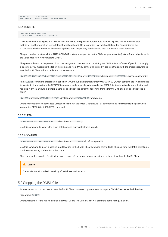```
ReadyQ time: 0.05 seconds
Audit location: AFN=9, ABSN=1509, updates=0, errors=0
```
#### 5.1.4 REGISTER

```
START WFL/DATABRIDGE/DMSIICLIENT
(\"clientdbname\",\"REGISTER port\[password\]\")
```
Use this command to register the DMSII Client to listen to the specified port for auto connect requests, which indicates that additional audit information is available. If additional audit file information is available, Databridge Server initiates the DMSIIClient, which automatically requests updates from the primary database and then updates the client database.

The port number must match the AUTO CONNECT port number specified in the DBServer parameter file (refer to Databridge Server in the *Databridge Host Administrator's Guide*).

The password must be the password you use to sign on to the usercode containing the DMSII Client software. If you do not supply a password, you must enter the following command from MARC or the ODT to modify the registration with the proper password so that the DMSII Client will run under the proper usercode:

NA REG MOD PROV DBCLIENT *port* PROV TASK ATTRIBUTES (VALUE= *port* ; TASKSTRING=" *clientdbname* ";USERCODE= usercode/*password* )

The REGISTER command creates a file called DATA/DMSIICLIENT/*clientdbname*/AUTOCONNECT, which contains the NA commands to register it. If you perform the REGISTER command under a privileged usercode, the DMSII Client automatically loads the file and registers it. If you are running under a nonprivileged usercode, enter the following from either the ODT or a privileged usercode in MARC:

NA LOAD ( usercode )DATA/DMSIICLIENT/ clientdbname /AUTOCONNECT ON familyname

where *usercode*is the nonprivileged usercode used to run the DMSII Client REGISTER command and *familyname*is the pack where you ran the DMSII Client REGISTER command.

#### 5.1.5 CLEAN

START WFL/DATABRIDGE/DMSIICLIENT (" *clientdbname* ","CLEAN")

Use this command to remove the client database and regenerate it from scratch.

#### 5.1.6 LOCATION

START WFL/DATABRIDGE/DMSIICLIENT (" *clientdbname* ","LOCATION *afn absn seg inx* ")

Use this command to insert a specific audit location in the DMSII Client database control table. The next time the DMSII Client runs, it will start retrieving updates from this point.

This command is intended for sites that load a clone of the primary database using a method other than the DMSII Client.

#### **Caution**

The DMSII Client will not check the validity of the indicated audit location.

# <span id="page-19-0"></span>5.2 Stopping the DMSII Client

In most cases, you do not need to stop the DMSII Client. However, if you do want to stop the DMSII Client, enter the following:

*mixnumber* AX QUIT

where *mixnumber* is the mix number of the DMSII Client. The DMSII Client will terminate at the next quiet point.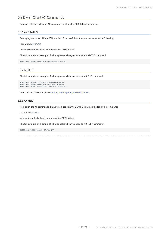# <span id="page-20-0"></span>5.3 DMSII Client AX Commands

You can enter the following AX commands anytime the DMSII Client is running.

#### <span id="page-20-1"></span>5.3.1 AX STATUS

To display the current AFN, ABSN, number of successful updates, and errors, enter the following:

*mixnumber* AX STATUS

where *mixnumber*is the mix number of the DMSII Client.

The following is an example of what appears when you enter an AX STATUS command:

DMSIIClient: AFN=38, ABSN=17877, updates=301, errors=0.

#### 5.3.2 AX QUIT

The following is an example of what appears when you enter an AX QUIT command:

```
DMSIIClient: Terminating at end of transaction group.
DMSIIClient: AFN=38, ABSN=17877, updates=0, errors=0.
DMSIIClient: [0007]: Active audit file 39 is unavailable.
```
To restart the DMSII Client see [Starting and Stopping the DMSII Client](#page-18-1).

#### 5.3.3 AX HELP

To display the AX commands that you can use with the DMSII Client, enter the following command:

mixnumber AX HELP

where *mixnumber*is the mix number of the DMSII Client.

The following is an example of what appears when you enter an AX HELP command:

DMSIIClient: Valid commands: STATUS, QUIT.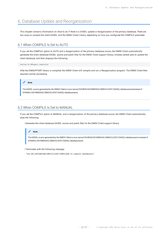# <span id="page-21-3"></span><span id="page-21-0"></span>6. Database Update and Reorganization

This chapter contains information on what to do if there is a DASDL update or reorganization of the primary database. There are two ways to compile the client DASDL and the DMSII Client Library, depending on how you configured the COMPILE parameter.

# <span id="page-21-1"></span>6.1 When COMPILE Is Set to AUTO

If you set the COMPILE option to AUTO and a reorganization of the primary database occurs, the DMSII Client automatically generates the client database DASDL source and patch files for the DMSII Client support library, initiates several jobs to update the client database, and then displays the following:

Waiting for DMSupport compilation`

After the DMSUPPORT library is compiled, the DMSII Client will compile and run a Reorganization program. The DMSII Client then resumes normal processing.



The DASDL source generated by the DMSIII Client is now named **SOURCE**/DATABRIDGE/DMSIICLIENT/DASDL/*databasename*instead of **SYMBOL**/DATABRIDGE/DMSIICLIENT/DASDL/*databasename*.

# <span id="page-21-2"></span>6.2 When COMPILE Is Set to MANUAL

If you set the COMPILE option to MANUAL and a reorganization of the primary database occurs, the DMSII Client automatically does the following:

Generates the client database DASDL source and patch files for the DMSII Client support library. •

#### **Note**

The DASDL source generated by the DMSIII Client is now named **SOURCE**/DATABRIDGE/DMSIICLIENT/DASDL/*databasename* instead of **SYMBOL**/DATABRIDGE/DMSIICLIENT/DASDL/*databasename*.

Terminates with the following message: •

"Use WFL/DATABRIDGE/DMSIICLIENT/COMPILEDB to compile *clientdbname*"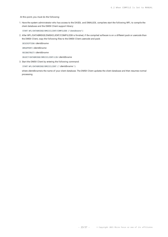At this point, you must do the following:

1. Have the system administrator who has access to the DASDL and DMALGOL compilers start the following WFL to compile the client database and the DMSII Client support library:

START WFL/DATABRIDGE/DMSIICLIENT/COMPILEDB ("*clientdbname*")

2. After WFL/DATABRIDGE/DMSIICLIENT/COMPILEDB is finished, if the compiled software is on a different pack or usercode than the DMSII Client, copy the following files to the DMSII Client usercode and pack:

DESCRIPTION/ *clientdbname*

DMSUPPORT/ *clientdbname*

RECONSTRUCT/ *clientdbname*

OBJECT/DATABRIDGE/DMSIICLIENT/LIB/ *clientdbname*

Start the DMSII Client by entering the following command: 3.

START WFL/DATABRIDGE/DMSIICLIENT (" *clientdbname* ")

where *clientdbname*is the name of your client database. The DMSII Client updates the client database and then resumes normal processing.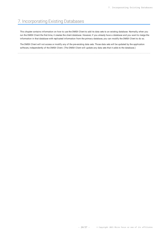# <span id="page-23-0"></span>7. Incorporating Existing Databases

This chapter contains information on how to use the DMSII Client to add its data sets to an existing database. Normally, when you run the DMSII Client the first time, it creates the client database. However, if you already have a database and you want to merge the information in that database with replicated information from the primary database, you can modify the DMSII Client to do so.

The DMSII Client will not access or modify any of the pre-existing data sets. Those data sets will be updated by the application software, independently of the DMSII Client. (The DMSII Client will update any data sets that it adds to the database.)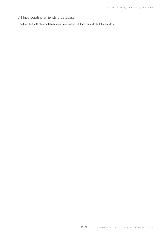# <span id="page-24-0"></span>7.1 Incorporating an Existing Database

To have the DMSII Client add its data sets to an existing database, complete the following steps: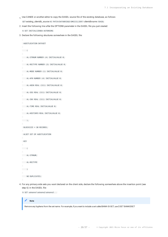Use CANDE or another editor to copy the DASDL source file of the existing database, as follows 1.

GET *existing\_clientdb\_source* AS PATCH/DATABRIDGE/DMSIICLIENT/ *clientdbname* /DASDL

2. Insert the following line after the OPTIONS parameter in the DASDL file you just created:

\$ SET INITIALIZENEW AUTOREORG

3. Declare the following structures somewhere in the DASDL file:

```
 AUDITLOCATION DATASET
\overline{a} AL-STRNUM NUMBER (4) INITIALVALUE 0;
 AL-RECTYPE NUMBER (3) INITIALVALUE 0;
 AL-MODE NUMBER (1) INITIALVALUE 0;
 AL-AFN NUMBER (4) INITIALVALUE 0;
 AL-ABSN REAL (S11) INITIALVALUE 0;
 AL-SEG REAL (S11) INITIALVALUE 0;
 AL-INX REAL (S11) INITIALVALUE 0;
 AL-TIME REAL INITIALVALUE 0;
 AL-HOSTINFO REAL INITIALVALUE 0;
\left( \begin{array}{c} \end{array} \right),
 BLOCKSIZE = 30 RECORDS;
 ALSET SET OF AUDITLOCATION
 KEY
\overline{\phantom{a}}AL-STRNUM,
 AL-RECTYPE
\overline{\phantom{a}}NO DUPLICATES;
```
For any primary-side sets you want declared on the client side, declare the following somewhere above the insertion point (see 4. step 6) in the DASDL file:

\$ SET *setname1 setname2 setname3*...

#### **Note**

Remove any hyphens from the set name. For example, if you want to include a set called BANK-ID-SET, use \$ SET BANKIDSET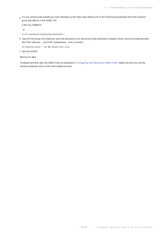For any primary-side subsets you want declared on the client side, declare one of the following somewhere above the insertion 5. point (see step 6) in the DASDL file:

```
$ SET ALLSUBSETS
-or-
```
\$ SET *subsetname1 subsetname2 subsetname3*...

6. Type the following line where you want the declarations for the primary-side structures to appear, which must be somewhere after the \$ SET *setname*..., and \$ SET *subsetname*... lines, if present.

@ Insertion point -- Do NOT delete this line.

```
7. Save the DASDL.
```
**What to Do Next**

Configure and then start the DMSII Client as described in Confi[guring and Starting the DMSII Client](#page-8-0). Make sure that you use the existing database name as the client database name.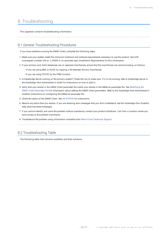# <span id="page-27-0"></span>8. Troubleshooting

This appendix contains troubleshooting information.

### <span id="page-27-1"></span>8.1 General Troubleshooting Procedures

If you have problems running the DMSII Client, complete the following steps:

- Make sure your system meets the minimum hardware and software requirements necessary to use the product. See A2D 1. unwrapped a broken link to: t\_29909 in an excluded topic.Installation Requirements for this information.
- If your primary and client databases are on separate mainframes, ensure that the mainframes are communicating, as follows: 2.
	- If you are using BNA or HLCN, try copying a file between the two mainframes.
	- If you are using TCP/IP, try the PING function.
- 3. Is Databridge Server running on the primary system? Check the mix to make sure. If it is not running, refer to Databridge Server in the *Databridge Host Administrator's Guide* for instructions on how to start it.
- 4. Verify that your entries in the DMSII Client parameter file match your entries in the DBServer parameter file. See [Modifying the](#page-13-0) [DMSII Client Parameter File](#page-13-0) for information about setting the DMSII Client parameters. Refer to the *Databridge Host Administrator's Guide*for instructions on configuring the DBServer parameter file.
- 5. Check the status of the DMSII Client. See [AX STATUS](#page-20-1) for instructions.
- 6. Resolve any errors that you receive. If you are receiving error messages that you don't understand, see the Databridge Error Guidefor help resolving these messages.
- If you cannot identify and solve the problem without assistance, contact your product distributor. Call from a location where you 7. have access to the problem mainframe.
- 8. Troubleshoot the problem using information available from [Micro Focus Technical Support.](https://support.microfocus.com/contact/databridge.html)

# <span id="page-27-2"></span>8.2 Troubleshooting Table

The following table lists common problems and their solutions.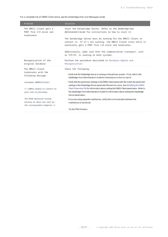For a complete list of DMSII Client errors, see the *Databridge Error and Messages Guide*.

| Problem                                                          | Solution                                                                                                                                                                                   |
|------------------------------------------------------------------|--------------------------------------------------------------------------------------------------------------------------------------------------------------------------------------------|
| The DMSII Client gets a<br>PORT file I/O error and<br>terminates | Start the Databridge Server. Refer to the Databridge Host<br>Administrator's Guide for instructions on how to start it.                                                                    |
|                                                                  | The Databridge Server must be running for the DMSII Client to<br>contact it. If it's not running, the DMSII Client tries until it<br>eventually gets a PORT file I/O error and terminates. |
|                                                                  | Additionally, make sure that the communication transport, such<br>as TCP/IP, is running on both systems.                                                                                   |
| Reorganization of the<br>original database                       | Perform the procedure described in Database Update and<br>Reorganization                                                                                                                   |
|                                                                  |                                                                                                                                                                                            |
| The DMSII Client                                                 | Check the following:                                                                                                                                                                       |
| terminates with the<br>following message:                        | . Verify that the Databridge Server is running on the primary system. If not, refer to the<br>Databridge Host Administrator's Guide for instructions on how to start it.                   |
| mixnumber DBDMSIIClient:                                         | • Verify that the parameter settings in the DMSII Client parameter file match the parameter<br>settings in the Databridge Server parameter file and vice versa. See Modifying the DMSII    |
| >> [4002] Unable to connect to                                   | Client Parameter File for information about setting the DMSII Client parameters. Refer to                                                                                                  |
| port nnnn at_hostname:                                           | the Databridge Host Administrator's Guide for information about setting the Databridge<br>Server parameters.                                                                               |
| The OPEN operation failed                                        | . If you are using separate mainframes, verify that communication between the                                                                                                              |
| because an abort was sent by                                     | mainframes is functional.                                                                                                                                                                  |
| the correspondent endpoint <<                                    |                                                                                                                                                                                            |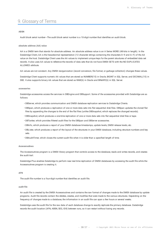# <span id="page-29-0"></span>9. Glossary of Terms

#### **ABSN**

Audit block serial number---The audit block serial number is a 10-digit number that identifies an audit block.

#### **absolute address (AA) value**

AA is a DMSII term that stands for absolute address. An absolute address value is an A Series WORD (48-bits in length). In the Databridge Client, AA is the hexadecimal representation (12 character strings containing the characters 0--9 and A--F) of the AA value on the host. Databridge Client uses the AA values to implement unique keys for the parent structures of embedded data set records. It also uses AA values to reference the records of data sets that do not have DMSII SETS with the NO DUPLICATES ALLOWED attribute.

AA values are not constant. Any DMSII reorganization (record conversion, file format, or garbage collection) changes these values.

Databridge Client supports numeric AA values that are stored as NUMBER(15) in Oracle, BIGINT in SQL Server, and DECIMAL(15) in DB2. It also supports binary AA values that are stored as RAW(6) in Oracle and BINARY(6) in SQL Server.

#### **accessories**

Databridge accessories access the services in DBEngine and DBSupport. Some of the accessories provided with Databridge are as follows:

- DBServer, which provides communication and DMSII database replication services to Databridge Clients.
- DBSpan, which produces a replication of one or more data sets into flat sequential disk files. DBSpan updates the cloned flat files by appending the changes to the end of the flat files (unlike DBSnapshot, which replaces the changed records).
- DBSnapshot, which produces a one-time replication of one or more data sets into flat sequential disk files or tape.
- DBTanker, which provides filtered audit files for the DBSpan and DBServer accessories.
- DBInfo, which produces a report of your DMSII database timestamps, update levels, DMSII release levels, etc.
- DBLister, which produces a report of the layout of the structures in your DMSII database, including structure numbers and key sets.
- DBAuditTimer, which closes the current audit file when it is older than a specified length of time.

#### **Accessroutines**

The Accessroutines program is a DMSII library program that controls access to the database, reads and writes records, and creates the audit trail.

Databridge Plus enables Databridge to perform near real-time replication of DMSII databases by accessing the audit file while the Accessroutines program is creating it.

#### **AFN**

The audit file number is a four-digit number that identifies an audit file.

#### **audit file**

An audit file is created by the DMSII Accessroutines and contains the raw format of changes made to the DMSII database by update programs. Audit file records contain the deletes, creates, and modifies that were made to the various structures. Depending on the frequency of changes made to a database, the information in an audit file can span a few hours or several weeks.

Databridge uses the audit file for the raw data of each database change to exactly replicate the primary database. Databridge records the audit location (AFN, ABSN, SEG, IDX) between runs, so it can restart without losing any records.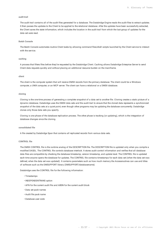#### **audit trail**

The audit trail contains all of the audit files generated for a database. The Databridge Engine reads the audit files to extract updates. It then passes the updates to the Client to be applied to the relational database. After the updates have been successfully extracted, the Client saves the state information, which includes the location in the audit trail from which the last group of updates for the data set were read.

#### **Batch Console**

The Batch Console automates routine Client tasks by allowing command files/shell scripts launched by the Client service to interact with the service.

#### **caching**

A process that filters files before they\'re requested by the Databridge Client. Caching allows Databridge Enterprise Server to send Client data requests quickly and without placing an additional resource burden on the mainframe.

#### **client**

The client is the computer system that will receive DMSII records from the primary database. The client could be a Windows computer, a UNIX computer, or an MCP server. The client can have a relational or a DMSII database.

#### **cloning**

Cloning is the one-time process of generating a complete snapshot of a data set to another file. Cloning creates a static picture of a dynamic database. Databridge uses the DMSII data sets and the audit trail to ensure that the cloned data represents a synchronized snapshot of the data sets at a quiet point, even though other programs may be updating the database concurrently. Databridge clones only those data sets you specify.

Cloning is one phase of the database replication process. The other phase is tracking (or updating), which is the integration of database changes since the cloning.

#### **consolidated file**

A file created by Databridge Span that contains all replicated records from various data sets.

#### **CONTROL file**

The DMSII CONTROL file is the runtime analog of the DESCRIPTION file. The DESCRIPTION file is updated only when you compile a modified DASDL. The CONTROL file controls database interlock. It stores audit control information and verifies that all database data files are compatible by checking the database timestamp, version timestamp, and update level. The CONTROL file is updated each time anyone opens the database for updates. The CONTROL file contains timestamps for each data set (when the data set was defined, when the data set was updated). It contains parameters such as how much memory the Accessroutines can use and titles of software such as the DMSUPPORT library (DMSUPPORT/databasename).

Databridge uses the CONTROL file for the following information:

- Timestamps •
- INDEPENDENTRANS option
- AFN for the current audit file and ABSN for the current audit block •
- Data set pack names •
- Audit file pack name •
- Database user code •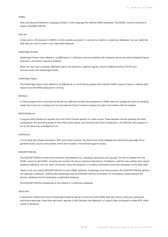#### **DASDL**

Data and Structure Definition Language (DASDL) is the language that defines DMSII databases. The DASDL must be compiled to create a DESCRIPTION file.

#### **data set**

A data set is a file structure in DMSII in which records are stored. It is similar to a table in a relational database. You can select the data sets you want to store in your replicated database.

#### **Databridge Director**

Databridge Director (also referred to as DBDirector) is a Windows Service installed with Enterprise Server that starts Enterprise Server whenever a connection request is received.

When you start your computer, DBDirector starts and reads the ListenPort registry value to determine which TCP/IP port communicates with Databridge Clients.

#### **Databridge Engine**

The Databridge Engine (also referred to as DBEngine) is a host library program that uses the DMSII Support Library to retrieve data records from the DMSII database for cloning.

#### **DBClient**

A Client program that is launched by the service. DBClient handles the processing of DMSII data and updates the same as dbutility, except that it runs as a background run and uses the Client Console to display its output and interact with the operator.

#### **DBClntCfgServer**

A program that handles all requests from the Client Console specific to a data source. These requests include updating the client configuration file, providing access to the client control tables, and handling the Client Configurator. Like DBClient, this program is run by the service as a background run.

#### **GenFormat**

A host utility that creates translation, filter, and format routines. The GenFormat utility interprets the GenFormat parameter file to generate ALGOL source code patches, which are included in the tailored Support Library.

#### **DESCRIPTION file**

The DESCRIPTION file contains the structural characteristics of a database, physically and logically. This file is created from the DASDL source by the DASDL compiler and contains the layout (physical description), timestamp, audit file size, update level, logical database definition, and any static information about the database. It contains information about the database, not the data itself.

There is only one current DESCRIPTION file for each DMSII database. Databridge must have access to the DESCRIPTION file before it can replicate a database. Additionally, Databridge uses the DESCRIPTION file information for consistency checks between the primary database and the secondary or replicated database.

The DESCRIPTION file corresponds to the schema in a relational database.

#### **direct disk**

A replication method that allows Databridge Enterprise Server to clone and track DMSII data sets without using any significant mainframe resources. Direct disk replication requires a SAN (Storage Area Network) or Logical Disks configured to make MCP disks visible in Windows.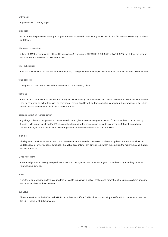#### **entry point**

A procedure in a library object.

#### **extraction**

Extraction is the process of reading through a data set sequentially and writing those records to a file (either a secondary database or flat file).

#### **file format conversion**

A type of DMSII reorganization affects file size values (for example, AREASIZE, BLOCKSIZE, or TABLESIZE), but it does not change the layout of the records in a DMSII database.

#### **filler substitution**

A DMSII filler substitution is a technique for avoiding a reorganization. It changes record layouts, but does not move records around.

#### **fixup records**

Changes that occur to the DMSII database while a clone is taking place.

#### **flat files**

A flat file is a plain text or mixed text and binary file which usually contains one record per line. Within the record, individual fields may be separated by delimiters, such as commas, or have a fixed length and be separated by padding. An example of a flat file is an address list that contains fields for *Name*and *Address*.

#### **garbage collection reorganization**

A garbage collection reorganization moves records around, but it doesn't change the layout of the DMSII database. Its primary function is to improve disk and/or I/O efficiency by eliminating the space occupied by deleted records. Optionally, a garbage collection reorganization reorders the remaining records in the same sequence as one of the sets.

#### **lag time**

The lag time is defined as the elapsed time between the time a record in the DMSII database is updated and the time where this update appears in the relational database. This value accounts for any difference between the clock on the mainframe and that on the client machine.

#### **Lister Accessory**

A Databridge Host accessory that produces a report of the layout of the structures in your DMSII database, including structure numbers and key sets.

#### **mutex**

A mutex is an operating system resource that is used to implement a critical section and prevent multiple processes from updating the same variables at the same time.

#### **null value**

The value defined in the DASDL to be NULL for a data item. If the DASDL does not explicitly specify a NULL value for a data item, the NULL value is all bits turned on.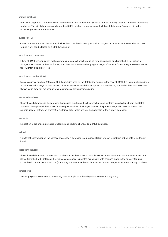#### **primary database**

This is the original DMSII database that resides on the host. Databridge replicates from the primary database to one or more client databases. The client databases can be another DMSII database or one of several relational databases. Compare this to the replicated (or secondary) database.

#### **quiet point (QPT)**

A quiet point is a point in the audit trail when the DMSII database is quiet and no program is in transaction state. This can occur naturally, or it can be forced by a DMSII sync point.

#### **record format conversion**

A type of DMSII reorganization that occurs when a data set or set (group of keys) is reordered or reformatted. It indicates that changes were made to a data set format, or to data items, such as changing the length of an item, for example, BANK-ID NUMBER (10) to BANK-ID NUMBER (15).

#### **record serial number (RSN)**

Record sequence numbers (RSN) are 48-bit quantities used by the Databridge Engine, in the case of DMSII XE, to uniquely identify a record. RSNs will always be used instead of AA values when available except for data sets having embedded data sets. RSNs are always static; they will not change after a garbage collection reorganization.

#### **replicated database**

The replicated database is the database that usually resides on the client machine and contains records cloned from the DMSII database. The replicated database is updated periodically with changes made to the primary (original) DMSII database. The periodic update (or tracking process) is explained later in this section. Compare this to the primary database.

#### **replication**

Replication is the ongoing process of cloning and tracking changes to a DMSII database.

#### **rollback**

A systematic restoration of the primary or secondary database to a previous state in which the problem or bad data is no longer found.

#### **secondary database**

The replicated database. The replicated database is the database that usually resides on the client machine and contains records cloned from the DMSII database. The replicated database is updated periodically with changes made to the primary (original) DMSII database. The periodic update (or tracking process) is explained later in this section. Compare this to the primary database.

#### **semaphores**

Operating system resources that are mainly used to implement thread synchronization and signaling.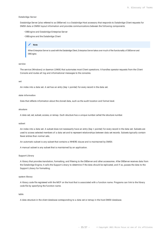#### **Databridge Server**

Databridge Server (also referred to as DBServer) is a Databridge Host accessory that responds to Databridge Client requests for DMSII data or DMSII layout information and provides communications between the following components:

- DBEngine and Databridge Enterprise Server
- DBEngine and the Databridge Client

#### **Note**

When Enterprise Server is used with the Databridge Client, Enterprise Server takes over much of the functionality of DBServer and DBEngine.

#### **service**

The service (Windows) or daemon (UNIX) that automates most Client operations. It handles operator requests from the Client Console and routes all log and informational messages to the consoles.

#### **set**

An index into a data set. A set has an entry (key + pointer) for every record in the data set.

#### **state information**

Data that reflects information about the cloned data, such as the audit location and format level.

#### **structure**

A data set, set, subset, access, or remap. Each structure has a unique number called the structure number.

#### **subset**

An index into a data set. A subset does not necessarily have an entry (key + pointer) for every record in the data set. Subsets are used to access selected members of a data set and to represent relationships between data set records. Subsets typically contain fewer entries than normal sets.

An automatic subset is any subset that contains a WHERE clause and is maintained by DMSII.

A manual subset is any subset that is maintained by an application.

#### **Support Library**

A library that provides translation, formatting, and filtering to the DBServer and other accessories. After DBServer receives data from the Databridge Engine, it calls the Support Library to determine if the data should be replicated, and if so, passes the data to the Support Library for formatting.

#### **system library**

A library code file registered with the MCP on the host that is associated with a function name. Programs can link to the library code file by specifying the function name.

#### **table**

A data structure in the client database corresponding to a data set or remap in the host DMSII database.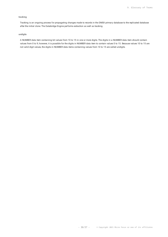#### **tracking**

Tracking is an ongoing process for propagating changes made to records in the DMSII primary database to the replicated database after the initial clone. The Databridge Engine performs extraction as well as tracking.

#### **undigits**

A NUMBER data item containing bit values from 10 to 15 in one or more digits. The digits in a NUMBER data item should contain values from 0 to 9; however, it is possible for the digits in NUMBER data item to contain values 0 to 15. Because values 10 to 15 are not valid digit values, the digits in NUMBER data items containing values from 10 to 15 are called undigits.